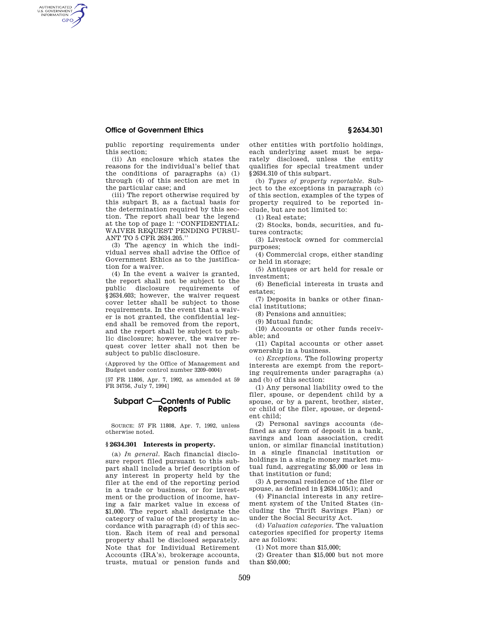## **Office of Government Ethics § 2634.301**

AUTHENTICATED<br>U.S. GOVERNMENT<br>INFORMATION **GPO** 

public reporting requirements under this section;

(ii) An enclosure which states the reasons for the individual's belief that the conditions of paragraphs (a) (1) through (4) of this section are met in the particular case; and

(iii) The report otherwise required by this subpart B, as a factual basis for the determination required by this section. The report shall bear the legend at the top of page 1: ''CONFIDENTIAL: WAIVER REQUEST PENDING PURSU-ANT TO 5 CFR 2634.205.''

(3) The agency in which the individual serves shall advise the Office of Government Ethics as to the justification for a waiver.

(4) In the event a waiver is granted, the report shall not be subject to the public disclosure requirements of §2634.603; however, the waiver request cover letter shall be subject to those requirements. In the event that a waiver is not granted, the confidential legend shall be removed from the report, and the report shall be subject to public disclosure; however, the waiver request cover letter shall not then be subject to public disclosure.

(Approved by the Office of Management and Budget under control number 3209–0004)

[57 FR 11806, Apr. 7, 1992, as amended at 59 FR 34756, July 7, 1994]

## **Subpart C—Contents of Public Reports**

SOURCE: 57 FR 11808, Apr. 7, 1992, unless otherwise noted.

## **§ 2634.301 Interests in property.**

(a) *In general.* Each financial disclosure report filed pursuant to this subpart shall include a brief description of any interest in property held by the filer at the end of the reporting period in a trade or business, or for investment or the production of income, having a fair market value in excess of \$1,000. The report shall designate the category of value of the property in accordance with paragraph (d) of this section. Each item of real and personal property shall be disclosed separately. Note that for Individual Retirement Accounts (IRA's), brokerage accounts, trusts, mutual or pension funds and

other entities with portfolio holdings, each underlying asset must be separately disclosed, unless the entity qualifies for special treatment under §2634.310 of this subpart.

(b) *Types of property reportable.* Subject to the exceptions in paragraph (c) of this section, examples of the types of property required to be reported include, but are not limited to:

(1) Real estate;

(2) Stocks, bonds, securities, and futures contracts;

(3) Livestock owned for commercial purposes;

(4) Commercial crops, either standing or held in storage;

(5) Antiques or art held for resale or investment;

(6) Beneficial interests in trusts and estates;

(7) Deposits in banks or other financial institutions;

(8) Pensions and annuities;

(9) Mutual funds;

(10) Accounts or other funds receivable; and

(11) Capital accounts or other asset ownership in a business.

(c) *Exceptions.* The following property interests are exempt from the reporting requirements under paragraphs (a) and (b) of this section:

(1) Any personal liability owed to the filer, spouse, or dependent child by a spouse, or by a parent, brother, sister, or child of the filer, spouse, or dependent child;

(2) Personal savings accounts (defined as any form of deposit in a bank, savings and loan association, credit union, or similar financial institution) in a single financial institution or holdings in a single money market mutual fund, aggregating \$5,000 or less in that institution or fund;

(3) A personal residence of the filer or spouse, as defined in §2634.105(l); and

(4) Financial interests in any retirement system of the United States (including the Thrift Savings Plan) or under the Social Security Act.

(d) *Valuation categories.* The valuation categories specified for property items are as follows:

(1) Not more than \$15,000;

(2) Greater than \$15,000 but not more than \$50,000;